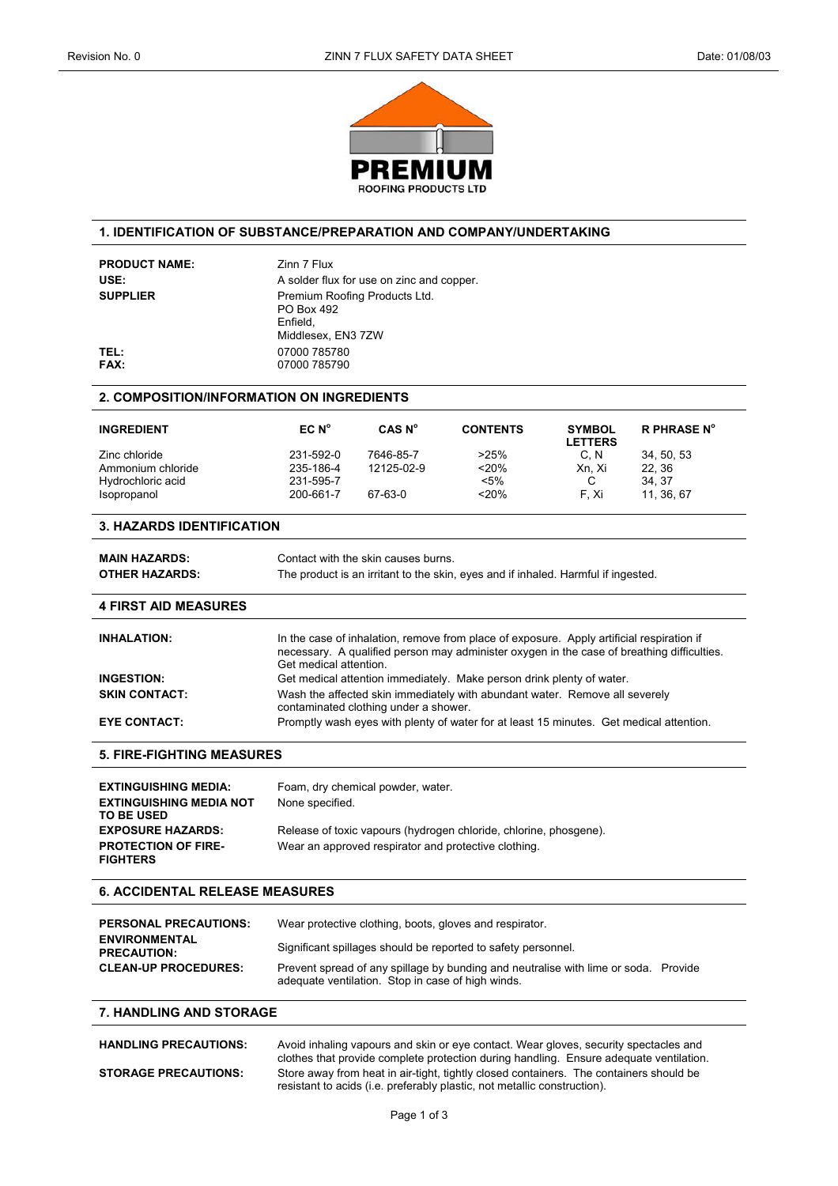

## **1. IDENTIFICATION OF SUBSTANCE/PREPARATION AND COMPANY/UNDERTAKING**

| <b>PRODUCT NAME:</b> | Zinn 7 Flux                                                                   |
|----------------------|-------------------------------------------------------------------------------|
| USE:                 | A solder flux for use on zinc and copper.                                     |
| <b>SUPPLIER</b>      | Premium Roofing Products Ltd.<br>PO Box 492<br>Enfield.<br>Middlesex, EN3 7ZW |
| TEL:<br><b>FAX:</b>  | 07000 785780<br>07000 785790                                                  |

# **2. COMPOSITION/INFORMATION ON INGREDIENTS**

| <b>INGREDIENT</b> | EC N <sup>o</sup> | CAS N <sup>o</sup> | <b>CONTENTS</b> | <b>SYMBOL</b><br><b>LETTERS</b> | <b>R PHRASE N°</b> |
|-------------------|-------------------|--------------------|-----------------|---------------------------------|--------------------|
| Zinc chloride     | 231-592-0         | 7646-85-7          | >25%            | C.N                             | 34, 50, 53         |
| Ammonium chloride | 235-186-4         | 12125-02-9         | $<$ 20%         | Xn. Xi                          | 22.36              |
| Hydrochloric acid | 231-595-7         |                    | <5%             |                                 | 34.37              |
| Isopropanol       | 200-661-7         | 67-63-0            | $<$ 20%         | F.Xi                            | 11.36.67           |

## **3. HAZARDS IDENTIFICATION**

| <b>MAIN HAZARDS:</b>  | Contact with the skin causes burns.                                               |
|-----------------------|-----------------------------------------------------------------------------------|
| <b>OTHER HAZARDS:</b> | The product is an irritant to the skin, eyes and if inhaled. Harmful if ingested. |

## **4 FIRST AID MEASURES**

| <b>INHALATION:</b>   | In the case of inhalation, remove from place of exposure. Apply artificial respiration if<br>necessary. A qualified person may administer oxygen in the case of breathing difficulties.<br>Get medical attention. |
|----------------------|-------------------------------------------------------------------------------------------------------------------------------------------------------------------------------------------------------------------|
| <b>INGESTION:</b>    | Get medical attention immediately. Make person drink plenty of water.                                                                                                                                             |
| <b>SKIN CONTACT:</b> | Wash the affected skin immediately with abundant water. Remove all severely<br>contaminated clothing under a shower.                                                                                              |
| <b>EYE CONTACT:</b>  | Promptly wash eyes with plenty of water for at least 15 minutes. Get medical attention.                                                                                                                           |

## **5. FIRE-FIGHTING MEASURES**

| <b>EXTINGUISHING MEDIA:</b><br><b>EXTINGUISHING MEDIA NOT</b><br><b>TO BE USED</b> | Foam, dry chemical powder, water.<br>None specified.              |
|------------------------------------------------------------------------------------|-------------------------------------------------------------------|
| <b>EXPOSURE HAZARDS:</b>                                                           | Release of toxic vapours (hydrogen chloride, chlorine, phosgene). |
| <b>PROTECTION OF FIRE-</b><br><b>FIGHTERS</b>                                      | Wear an approved respirator and protective clothing.              |

# **6. ACCIDENTAL RELEASE MEASURES**

| <b>PERSONAL PRECAUTIONS:</b>               | Wear protective clothing, boots, gloves and respirator.                                                                                  |
|--------------------------------------------|------------------------------------------------------------------------------------------------------------------------------------------|
| <b>ENVIRONMENTAL</b><br><b>PRECAUTION:</b> | Significant spillages should be reported to safety personnel.                                                                            |
| <b>CLEAN-UP PROCEDURES:</b>                | Prevent spread of any spillage by bunding and neutralise with lime or soda. Provide<br>adequate ventilation. Stop in case of high winds. |

# **7. HANDLING AND STORAGE**

| <b>HANDLING PRECAUTIONS:</b> | Avoid inhaling vapours and skin or eye contact. Wear gloves, security spectacles and<br>clothes that provide complete protection during handling. Ensure adequate ventilation. |
|------------------------------|--------------------------------------------------------------------------------------------------------------------------------------------------------------------------------|
| <b>STORAGE PRECAUTIONS:</b>  | Store away from heat in air-tight, tightly closed containers. The containers should be<br>resistant to acids (i.e. preferably plastic, not metallic construction).             |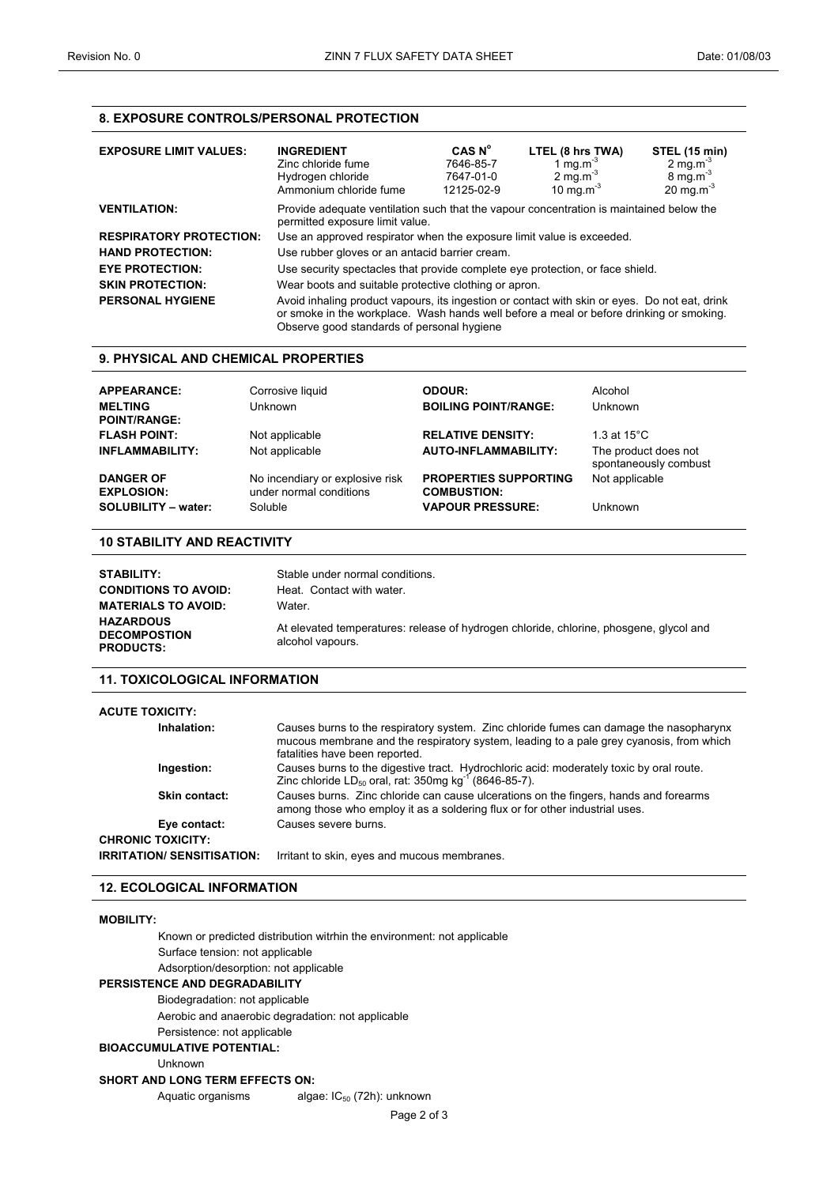#### **8. EXPOSURE CONTROLS/PERSONAL PROTECTION**

| <b>EXPOSURE LIMIT VALUES:</b>  | <b>INGREDIENT</b><br>Zinc chloride fume<br>Hydrogen chloride<br>Ammonium chloride fume                                                                                                                                                 | CAS N <sup>o</sup><br>7646-85-7<br>7647-01-0<br>12125-02-9 | LTEL (8 hrs TWA)<br>1 mg.m <sup>-3</sup><br>2 mg.m <sup>-3</sup><br>10 mg.m <sup>-3</sup> | STEL (15 min)<br>2 mg.m <sup>-3</sup><br>$8 \text{ mg.m}^{-3}$<br>$20 \text{ mg} \cdot \text{m}^{-3}$ |  |
|--------------------------------|----------------------------------------------------------------------------------------------------------------------------------------------------------------------------------------------------------------------------------------|------------------------------------------------------------|-------------------------------------------------------------------------------------------|-------------------------------------------------------------------------------------------------------|--|
| <b>VENTILATION:</b>            | Provide adequate ventilation such that the vapour concentration is maintained below the<br>permitted exposure limit value.                                                                                                             |                                                            |                                                                                           |                                                                                                       |  |
| <b>RESPIRATORY PROTECTION:</b> | Use an approved respirator when the exposure limit value is exceeded.                                                                                                                                                                  |                                                            |                                                                                           |                                                                                                       |  |
| <b>HAND PROTECTION:</b>        | Use rubber gloves or an antacid barrier cream.                                                                                                                                                                                         |                                                            |                                                                                           |                                                                                                       |  |
| <b>EYE PROTECTION:</b>         | Use security spectacles that provide complete eye protection, or face shield.                                                                                                                                                          |                                                            |                                                                                           |                                                                                                       |  |
| <b>SKIN PROTECTION:</b>        | Wear boots and suitable protective clothing or apron.                                                                                                                                                                                  |                                                            |                                                                                           |                                                                                                       |  |
| <b>PERSONAL HYGIENE</b>        | Avoid inhaling product vapours, its ingestion or contact with skin or eyes. Do not eat, drink<br>or smoke in the workplace. Wash hands well before a meal or before drinking or smoking.<br>Observe good standards of personal hygiene |                                                            |                                                                                           |                                                                                                       |  |

#### **9. PHYSICAL AND CHEMICAL PROPERTIES**

| <b>APPEARANCE:</b><br><b>MELTING</b><br><b>POINT/RANGE:</b>         | Corrosive liquid<br>Unknown                                           | ODOUR:<br><b>BOILING POINT/RANGE:</b>                                         | Alcohol<br><b>Unknown</b>                                               |
|---------------------------------------------------------------------|-----------------------------------------------------------------------|-------------------------------------------------------------------------------|-------------------------------------------------------------------------|
| <b>FLASH POINT:</b><br><b>INFLAMMABILITY:</b>                       | Not applicable<br>Not applicable                                      | <b>RELATIVE DENSITY:</b><br>AUTO-INFLAMMABILITY:                              | 1.3 at 15 $^{\circ}$ C<br>The product does not<br>spontaneously combust |
| <b>DANGER OF</b><br><b>EXPLOSION:</b><br><b>SOLUBILITY - water:</b> | No incendiary or explosive risk<br>under normal conditions<br>Soluble | <b>PROPERTIES SUPPORTING</b><br><b>COMBUSTION:</b><br><b>VAPOUR PRESSURE:</b> | Not applicable<br>Unknown                                               |

#### **10 STABILITY AND REACTIVITY**

| <b>STABILITY:</b>                                                                         | Stable under normal conditions.                                                                                      |
|-------------------------------------------------------------------------------------------|----------------------------------------------------------------------------------------------------------------------|
| <b>CONDITIONS TO AVOID:</b>                                                               | Heat. Contact with water.                                                                                            |
| <b>MATERIALS TO AVOID:</b><br><b>HAZARDOUS</b><br><b>DECOMPOSTION</b><br><b>PRODUCTS:</b> | Water.<br>At elevated temperatures: release of hydrogen chloride, chlorine, phosgene, glycol and<br>alcohol vapours. |

#### **11. TOXICOLOGICAL INFORMATION**

#### **ACUTE TOXICITY:**

# **12. ECOLOGICAL INFORMATION**

#### **MOBILITY:**

Known or predicted distribution witrhin the environment: not applicable Surface tension: not applicable Adsorption/desorption: not applicable **PERSISTENCE AND DEGRADABILITY**  Biodegradation: not applicable Aerobic and anaerobic degradation: not applicable Persistence: not applicable

#### **BIOACCUMULATIVE POTENTIAL:**

Unknown

#### **SHORT AND LONG TERM EFFECTS ON:**

Aquatic organisms algae:  $IC_{50}$  (72h): unknown

Page 2 of 3